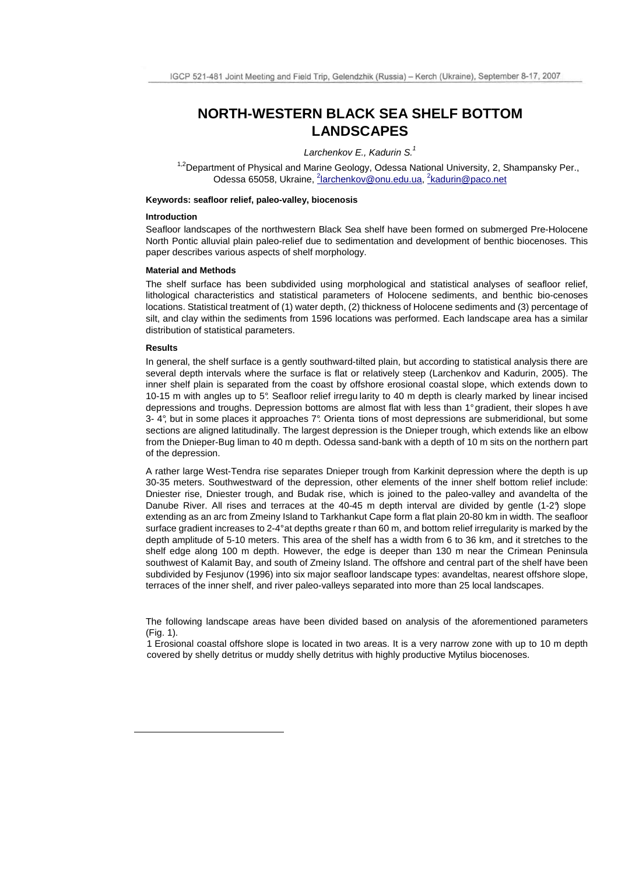# **NORTH-WESTERN BLACK SEA SHELF BOTTOM LANDSCAPES**

## Larchenkov E., Kadurin S. $<sup>1</sup>$ </sup>

<sup>1,2</sup>Department of Physical and Marine Geology, Odessa National University, 2, Shampansky Per., Odessa 65058, Ukraine, <sup>2</sup>larchenkov@onu.edu.ua, <sup>2</sup>kadurin@paco.net

#### **Keywords: seafloor relief, paleo-valley, biocenosis**

### **Introduction**

Seafloor landscapes of the northwestern Black Sea shelf have been formed on submerged Pre-Holocene North Pontic alluvial plain paleo-relief due to sedimentation and development of benthic biocenoses. This paper describes various aspects of shelf morphology.

#### **Material and Methods**

The shelf surface has been subdivided using morphological and statistical analyses of seafloor relief, lithological characteristics and statistical parameters of Holocene sediments, and benthic bio-cenoses locations. Statistical treatment of (1) water depth, (2) thickness of Holocene sediments and (3) percentage of silt, and clay within the sediments from 1596 locations was performed. Each landscape area has a similar distribution of statistical parameters.

#### **Results**

l.

In general, the shelf surface is a gently southward-tilted plain, but according to statistical analysis there are several depth intervals where the surface is flat or relatively steep (Larchenkov and Kadurin, 2005). The inner shelf plain is separated from the coast by offshore erosional coastal slope, which extends down to 10-15 m with angles up to 5°. Seafloor relief irregu larity to 40 m depth is clearly marked by linear incised depressions and troughs. Depression bottoms are almost flat with less than 1° gradient, their slopes h ave 3- 4°, but in some places it approaches 7°. Orienta tions of most depressions are submeridional, but some sections are aligned latitudinally. The largest depression is the Dnieper trough, which extends like an elbow from the Dnieper-Bug liman to 40 m depth. Odessa sand-bank with a depth of 10 m sits on the northern part of the depression.

A rather large West-Tendra rise separates Dnieper trough from Karkinit depression where the depth is up 30-35 meters. Southwestward of the depression, other elements of the inner shelf bottom relief include: Dniester rise, Dniester trough, and Budak rise, which is joined to the paleo-valley and avandelta of the Danube River. All rises and terraces at the 40-45 m depth interval are divided by gentle (1-2°) slope extending as an arc from Zmeiny Island to Tarkhankut Cape form a flat plain 20-80 km in width. The seafloor surface gradient increases to 2-4° at depths greate r than 60 m, and bottom relief irregularity is marked by the depth amplitude of 5-10 meters. This area of the shelf has a width from 6 to 36 km, and it stretches to the shelf edge along 100 m depth. However, the edge is deeper than 130 m near the Crimean Peninsula southwest of Kalamit Bay, and south of Zmeiny Island. The offshore and central part of the shelf have been subdivided by Fesjunov (1996) into six major seafloor landscape types: avandeltas, nearest offshore slope, terraces of the inner shelf, and river paleo-valleys separated into more than 25 local landscapes.

The following landscape areas have been divided based on analysis of the aforementioned parameters  $(Fin 1)$ .

1 Erosional coastal offshore slope is located in two areas. It is a very narrow zone with up to 10 m depth covered by shelly detritus or muddy shelly detritus with highly productive Mytilus biocenoses.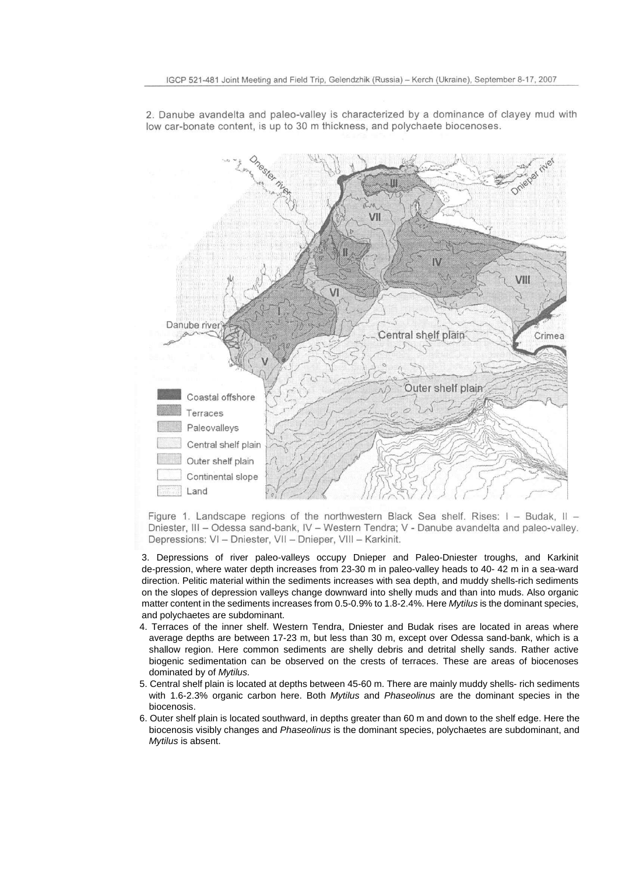

2. Danube avandelta and paleo-valley is characterized by a dominance of clayey mud with low car-bonate content, is up to 30 m thickness, and polychaete biocenoses.

Figure 1. Landscape regions of the northwestern Black Sea shelf. Rises: I - Budak, II -Dniester, III - Odessa sand-bank, IV - Western Tendra; V - Danube avandelta and paleo-valley. Depressions: VI - Dniester, VII - Dnieper, VIII - Karkinit.

3. Depressions of river paleo-valleys occupy Dnieper and Paleo-Dniester troughs, and Karkinit de-pression, where water depth increases from 23-30 m in paleo-valley heads to 40- 42 m in a sea-ward direction. Pelitic material within the sediments increases with sea depth, and muddy shells-rich sediments on the slopes of depression valleys change downward into shelly muds and than into muds. Also organic matter content in the sediments increases from 0.5-0.9% to 1.8-2.4%. Here Mytilus is the dominant species, and polychaetes are subdominant.

- 4. Terraces of the inner shelf. Western Tendra, Dniester and Budak rises are located in areas where average depths are between 17-23 m, but less than 30 m, except over Odessa sand-bank, which is a shallow region. Here common sediments are shelly debris and detrital shelly sands. Rather active biogenic sedimentation can be observed on the crests of terraces. These are areas of biocenoses dominated by of Mytilus.
- 5. Central shelf plain is located at depths between 45-60 m. There are mainly muddy shells- rich sediments with 1.6-2.3% organic carbon here. Both Mytilus and Phaseolinus are the dominant species in the biocenosis.
- 6. Outer shelf plain is located southward, in depths greater than 60 m and down to the shelf edge. Here the biocenosis visibly changes and Phaseolinus is the dominant species, polychaetes are subdominant, and Mytilus is absent.